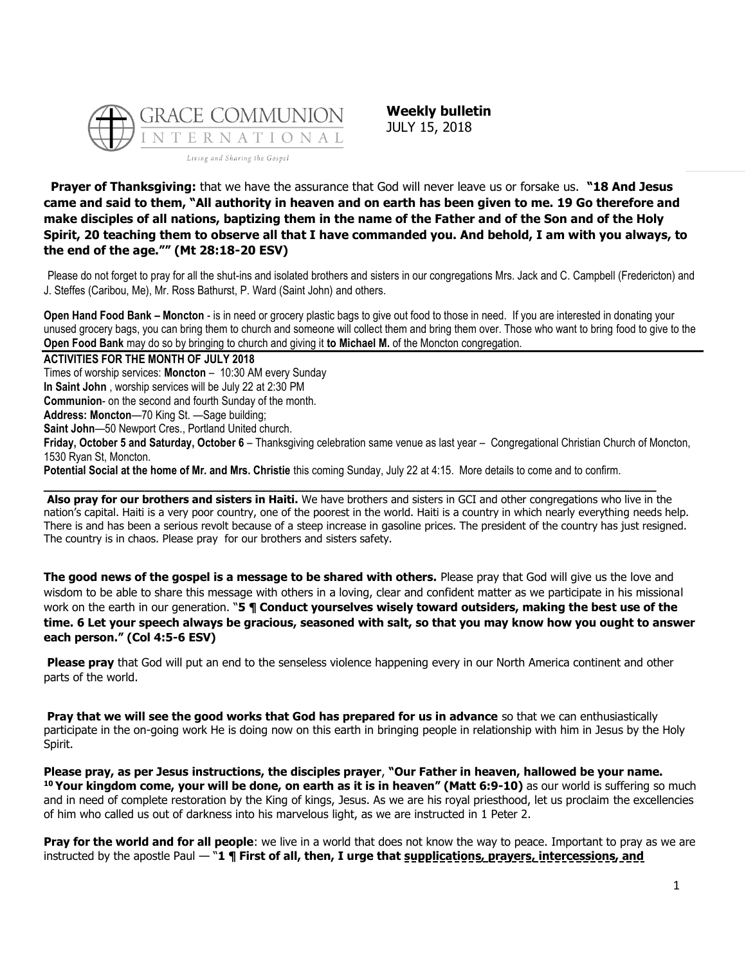

**Weekly bulletin** JULY 15, 2018

**Prayer of Thanksgiving:** that we have the assurance that God will never leave us or forsake us. **"18 And Jesus came and said to them, "All authority in heaven and on earth has been given to me. 19 Go therefore and make disciples of all nations, baptizing them in the name of the Father and of the Son and of the Holy Spirit, 20 teaching them to observe all that I have commanded you. And behold, I am with you always, to the end of the age."" (Mt 28:18-20 ESV)**

Please do not forget to pray for all the shut-ins and isolated brothers and sisters in our congregations Mrs. Jack and C. Campbell (Fredericton) and J. Steffes (Caribou, Me), Mr. Ross Bathurst, P. Ward (Saint John) and others.

**Open Hand Food Bank – Moncton** - is in need or grocery plastic bags to give out food to those in need. If you are interested in donating your unused grocery bags, you can bring them to church and someone will collect them and bring them over. Those who want to bring food to give to the **Open Food Bank** may do so by bringing to church and giving it **to Michael M.** of the Moncton congregation.

**ACTIVITIES FOR THE MONTH OF JULY 2018**

Times of worship services: **Moncton** – 10:30 AM every Sunday

**In Saint John** , worship services will be July 22 at 2:30 PM

**Communion**- on the second and fourth Sunday of the month.

**Address: Moncton**—70 King St. —Sage building;

**Saint John**—50 Newport Cres., Portland United church.

**Friday, October 5 and Saturday, October 6** – Thanksgiving celebration same venue as last year – Congregational Christian Church of Moncton, 1530 Ryan St, Moncton.

**Potential Social at the home of Mr. and Mrs. Christie** this coming Sunday, July 22 at 4:15. More details to come and to confirm.

**\_\_\_\_\_\_\_\_\_\_\_\_\_\_\_\_\_\_\_\_\_\_\_\_\_\_\_\_\_\_\_\_\_\_\_\_\_\_\_\_\_\_\_\_\_\_\_\_\_\_\_\_\_\_\_\_\_\_\_\_\_\_\_\_\_\_\_\_\_\_\_\_\_\_\_\_\_\_\_**

**Also pray for our brothers and sisters in Haiti.** We have brothers and sisters in GCI and other congregations who live in the nation's capital. Haiti is a very poor country, one of the poorest in the world. Haiti is a country in which nearly everything needs help. There is and has been a serious revolt because of a steep increase in gasoline prices. The president of the country has just resigned. The country is in chaos. Please pray for our brothers and sisters safety.

**The good news of the gospel is a message to be shared with others.** Please pray that God will give us the love and wisdom to be able to share this message with others in a loving, clear and confident matter as we participate in his missional work on the earth in our generation. "**5 ¶ Conduct yourselves wisely toward outsiders, making the best use of the time. 6 Let your speech always be gracious, seasoned with salt, so that you may know how you ought to answer each person." (Col 4:5-6 ESV)**

**Please pray** that God will put an end to the senseless violence happening every in our North America continent and other parts of the world.

**Pray that we will see the good works that God has prepared for us in advance** so that we can enthusiastically participate in the on-going work He is doing now on this earth in bringing people in relationship with him in Jesus by the Holy Spirit.

**Please pray, as per Jesus instructions, the disciples prayer**, **"Our Father in heaven, hallowed be your name. <sup>10</sup> Your kingdom come, your will be done, on earth as it is in heaven" (Matt 6:9-10)** as our world is suffering so much and in need of complete restoration by the King of kings, Jesus. As we are his royal priesthood, let us proclaim the excellencies of him who called us out of darkness into his marvelous light, as we are instructed in 1 Peter 2.

**Pray for the world and for all people**: we live in a world that does not know the way to peace. Important to pray as we are instructed by the apostle Paul — "**1 ¶ First of all, then, I urge that supplications, prayers, intercessions, and**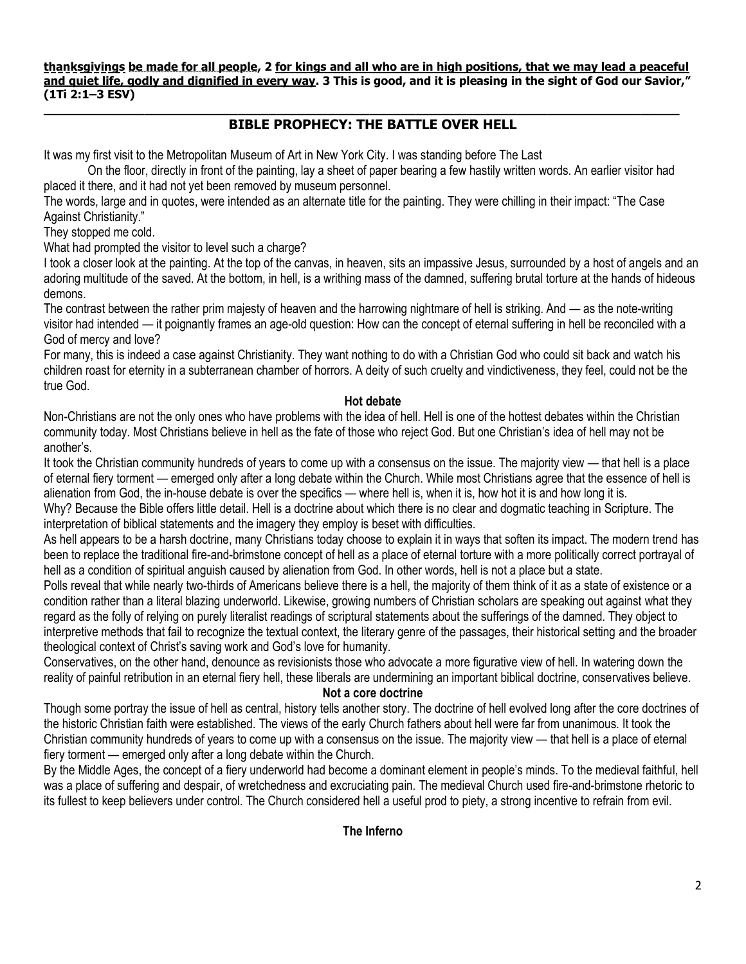**thanksgivings be made for all people, 2 for kings and all who are in high positions, that we may lead a peaceful and quiet life, godly and dignified in every way. 3 This is good, and it is pleasing in the sight of God our Savior," (1Ti 2:1–3 ESV) \_\_\_\_\_\_\_\_\_\_\_\_\_\_\_\_\_\_\_\_\_\_\_\_\_\_\_\_\_\_\_\_\_\_\_\_\_\_\_\_\_\_\_\_\_\_\_\_\_\_\_\_\_\_\_\_\_\_\_\_\_\_\_\_\_\_\_\_\_\_\_\_\_\_\_\_\_\_\_\_\_\_**

# **BIBLE PROPHECY: THE BATTLE OVER HELL**

It was my first visit to the Metropolitan Museum of Art in New York City. I was standing before The Last

On the floor, directly in front of the painting, lay a sheet of paper bearing a few hastily written words. An earlier visitor had placed it there, and it had not yet been removed by museum personnel.

The words, large and in quotes, were intended as an alternate title for the painting. They were chilling in their impact: "The Case Against Christianity."

They stopped me cold.

What had prompted the visitor to level such a charge?

I took a closer look at the painting. At the top of the canvas, in heaven, sits an impassive Jesus, surrounded by a host of angels and an adoring multitude of the saved. At the bottom, in hell, is a writhing mass of the damned, suffering brutal torture at the hands of hideous demons.

The contrast between the rather prim majesty of heaven and the harrowing nightmare of hell is striking. And — as the note-writing visitor had intended — it poignantly frames an age-old question: How can the concept of eternal suffering in hell be reconciled with a God of mercy and love?

For many, this is indeed a case against Christianity. They want nothing to do with a Christian God who could sit back and watch his children roast for eternity in a subterranean chamber of horrors. A deity of such cruelty and vindictiveness, they feel, could not be the true God.

### **Hot debate**

Non-Christians are not the only ones who have problems with the idea of hell. Hell is one of the hottest debates within the Christian community today. Most Christians believe in hell as the fate of those who reject God. But one Christian's idea of hell may not be another's.

It took the Christian community hundreds of years to come up with a consensus on the issue. The majority view — that hell is a place of eternal fiery torment — emerged only after a long debate within the Church. While most Christians agree that the essence of hell is alienation from God, the in-house debate is over the specifics — where hell is, when it is, how hot it is and how long it is. Why? Because the Bible offers little detail. Hell is a doctrine about which there is no clear and dogmatic teaching in Scripture. The

interpretation of biblical statements and the imagery they employ is beset with difficulties.

As hell appears to be a harsh doctrine, many Christians today choose to explain it in ways that soften its impact. The modern trend has been to replace the traditional fire-and-brimstone concept of hell as a place of eternal torture with a more politically correct portrayal of hell as a condition of spiritual anguish caused by alienation from God. In other words, hell is not a place but a state.

Polls reveal that while nearly two-thirds of Americans believe there is a hell, the majority of them think of it as a state of existence or a condition rather than a literal blazing underworld. Likewise, growing numbers of Christian scholars are speaking out against what they regard as the folly of relying on purely literalist readings of scriptural statements about the sufferings of the damned. They object to interpretive methods that fail to recognize the textual context, the literary genre of the passages, their historical setting and the broader theological context of Christ's saving work and God's love for humanity.

Conservatives, on the other hand, denounce as revisionists those who advocate a more figurative view of hell. In watering down the reality of painful retribution in an eternal fiery hell, these liberals are undermining an important biblical doctrine, conservatives believe.

#### **Not a core doctrine**

Though some portray the issue of hell as central, history tells another story. The doctrine of hell evolved long after the core doctrines of the historic Christian faith were established. The views of the early Church fathers about hell were far from unanimous. It took the Christian community hundreds of years to come up with a consensus on the issue. The majority view — that hell is a place of eternal fiery torment — emerged only after a long debate within the Church.

By the Middle Ages, the concept of a fiery underworld had become a dominant element in people's minds. To the medieval faithful, hell was a place of suffering and despair, of wretchedness and excruciating pain. The medieval Church used fire-and-brimstone rhetoric to its fullest to keep believers under control. The Church considered hell a useful prod to piety, a strong incentive to refrain from evil.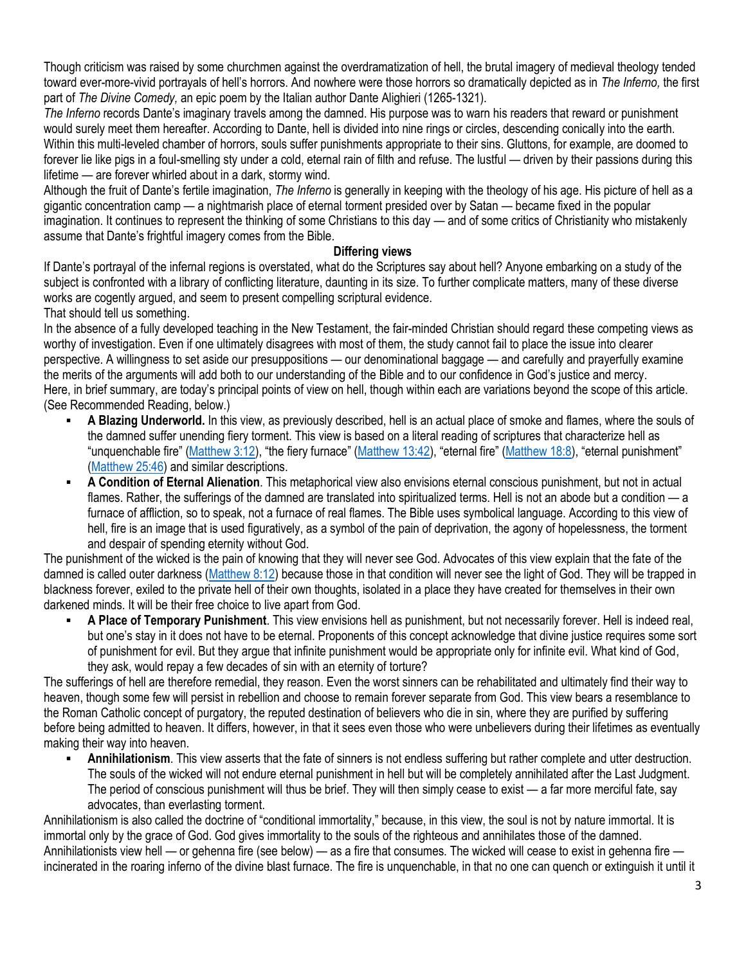Though criticism was raised by some churchmen against the overdramatization of hell, the brutal imagery of medieval theology tended toward ever-more-vivid portrayals of hell's horrors. And nowhere were those horrors so dramatically depicted as in *The Inferno,* the first part of *The Divine Comedy,* an epic poem by the Italian author Dante Alighieri (1265-1321).

*The Inferno* records Dante's imaginary travels among the damned. His purpose was to warn his readers that reward or punishment would surely meet them hereafter. According to Dante, hell is divided into nine rings or circles, descending conically into the earth. Within this multi-leveled chamber of horrors, souls suffer punishments appropriate to their sins. Gluttons, for example, are doomed to forever lie like pigs in a foul-smelling sty under a cold, eternal rain of filth and refuse. The lustful — driven by their passions during this lifetime — are forever whirled about in a dark, stormy wind.

Although the fruit of Dante's fertile imagination, *The Inferno* is generally in keeping with the theology of his age. His picture of hell as a gigantic concentration camp — a nightmarish place of eternal torment presided over by Satan — became fixed in the popular imagination. It continues to represent the thinking of some Christians to this day — and of some critics of Christianity who mistakenly assume that Dante's frightful imagery comes from the Bible.

### **Differing views**

If Dante's portrayal of the infernal regions is overstated, what do the Scriptures say about hell? Anyone embarking on a study of the subject is confronted with a library of conflicting literature, daunting in its size. To further complicate matters, many of these diverse works are cogently argued, and seem to present compelling scriptural evidence.

That should tell us something.

In the absence of a fully developed teaching in the New Testament, the fair-minded Christian should regard these competing views as worthy of investigation. Even if one ultimately disagrees with most of them, the study cannot fail to place the issue into clearer perspective. A willingness to set aside our presuppositions — our denominational baggage — and carefully and prayerfully examine the merits of the arguments will add both to our understanding of the Bible and to our confidence in God's justice and mercy. Here, in brief summary, are today's principal points of view on hell, though within each are variations beyond the scope of this article. (See Recommended Reading, below.)

- A Blazing Underworld. In this view, as previously described, hell is an actual place of smoke and flames, where the souls of the damned suffer unending fiery torment. This view is based on a literal reading of scriptures that characterize hell as "unquenchable fire" ([Matthew 3:12](https://biblia.com/bible/niv/Matt%203.12)), "the fiery furnace" ([Matthew 13:42](https://biblia.com/bible/niv/Matt%2013.42)), "eternal fire" ([Matthew 18:8](https://biblia.com/bible/niv/Matt%2018.8)), "eternal punishment" [\(Matthew 25:46\)](https://biblia.com/bible/niv/Matt%2025.46) and similar descriptions.
- A Condition of Eternal Alienation. This metaphorical view also envisions eternal conscious punishment, but not in actual flames. Rather, the sufferings of the damned are translated into spiritualized terms. Hell is not an abode but a condition — a furnace of affliction, so to speak, not a furnace of real flames. The Bible uses symbolical language. According to this view of hell, fire is an image that is used figuratively, as a symbol of the pain of deprivation, the agony of hopelessness, the torment and despair of spending eternity without God.

The punishment of the wicked is the pain of knowing that they will never see God. Advocates of this view explain that the fate of the damned is called outer darkness [\(Matthew 8:12\)](https://biblia.com/bible/niv/Matt%208.12) because those in that condition will never see the light of God. They will be trapped in blackness forever, exiled to the private hell of their own thoughts, isolated in a place they have created for themselves in their own darkened minds. It will be their free choice to live apart from God.

▪ **A Place of Temporary Punishment**. This view envisions hell as punishment, but not necessarily forever. Hell is indeed real, but one's stay in it does not have to be eternal. Proponents of this concept acknowledge that divine justice requires some sort of punishment for evil. But they argue that infinite punishment would be appropriate only for infinite evil. What kind of God, they ask, would repay a few decades of sin with an eternity of torture?

The sufferings of hell are therefore remedial, they reason. Even the worst sinners can be rehabilitated and ultimately find their way to heaven, though some few will persist in rebellion and choose to remain forever separate from God. This view bears a resemblance to the Roman Catholic concept of purgatory, the reputed destination of believers who die in sin, where they are purified by suffering before being admitted to heaven. It differs, however, in that it sees even those who were unbelievers during their lifetimes as eventually making their way into heaven.

**Annihilationism**. This view asserts that the fate of sinners is not endless suffering but rather complete and utter destruction. The souls of the wicked will not endure eternal punishment in hell but will be completely annihilated after the Last Judgment. The period of conscious punishment will thus be brief. They will then simply cease to exist — a far more merciful fate, say advocates, than everlasting torment.

Annihilationism is also called the doctrine of "conditional immortality," because, in this view, the soul is not by nature immortal. It is immortal only by the grace of God. God gives immortality to the souls of the righteous and annihilates those of the damned. Annihilationists view hell — or gehenna fire (see below) — as a fire that consumes. The wicked will cease to exist in gehenna fire incinerated in the roaring inferno of the divine blast furnace. The fire is unquenchable, in that no one can quench or extinguish it until it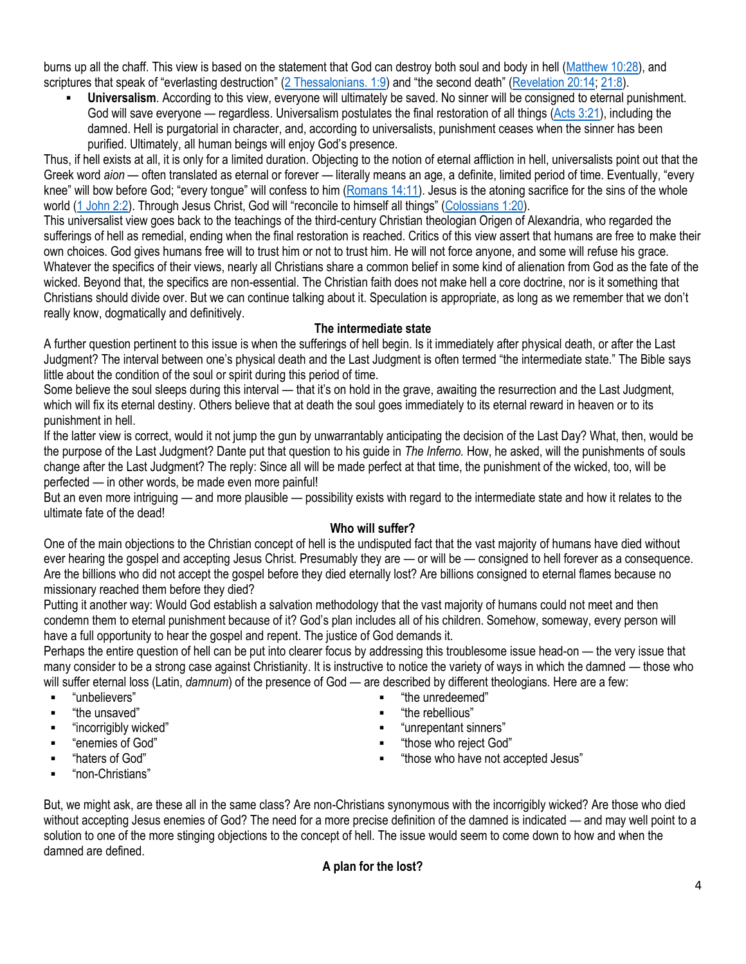burns up all the chaff. This view is based on the statement that God can destroy both soul and body in hell [\(Matthew 10:28\)](https://biblia.com/bible/niv/Matt%2010.28), and scriptures that speak of "everlasting destruction" ([2 Thessalonians. 1:9](https://biblia.com/bible/niv/2%20Thess.%201.9)) and "the second death" ([Revelation 20:14;](https://biblia.com/bible/niv/Rev%2020.14) [21:8\)](https://biblia.com/bible/niv/Revelation%2021.8).

▪ **Universalism**. According to this view, everyone will ultimately be saved. No sinner will be consigned to eternal punishment. God will save everyone — regardless. Universalism postulates the final restoration of all things [\(Acts 3:21\)](https://biblia.com/bible/niv/Acts%203.21), including the damned. Hell is purgatorial in character, and, according to universalists, punishment ceases when the sinner has been purified. Ultimately, all human beings will enjoy God's presence.

Thus, if hell exists at all, it is only for a limited duration. Objecting to the notion of eternal affliction in hell, universalists point out that the Greek word *aion* — often translated as eternal or forever — literally means an age, a definite, limited period of time. Eventually, "every knee" will bow before God; "every tongue" will confess to him ([Romans 14:11\)](https://biblia.com/bible/niv/Rom%2014.11). Jesus is the atoning sacrifice for the sins of the whole world [\(1 John 2:2](https://biblia.com/bible/niv/1%20John%202.2)). Through Jesus Christ, God will "reconcile to himself all things" ([Colossians 1:20\)](https://biblia.com/bible/niv/Col%201.20).

This universalist view goes back to the teachings of the third-century Christian theologian Origen of Alexandria, who regarded the sufferings of hell as remedial, ending when the final restoration is reached. Critics of this view assert that humans are free to make their own choices. God gives humans free will to trust him or not to trust him. He will not force anyone, and some will refuse his grace. Whatever the specifics of their views, nearly all Christians share a common belief in some kind of alienation from God as the fate of the wicked. Beyond that, the specifics are non-essential. The Christian faith does not make hell a core doctrine, nor is it something that Christians should divide over. But we can continue talking about it. Speculation is appropriate, as long as we remember that we don't really know, dogmatically and definitively.

## **The intermediate state**

A further question pertinent to this issue is when the sufferings of hell begin. Is it immediately after physical death, or after the Last Judgment? The interval between one's physical death and the Last Judgment is often termed "the intermediate state." The Bible says little about the condition of the soul or spirit during this period of time.

Some believe the soul sleeps during this interval — that it's on hold in the grave, awaiting the resurrection and the Last Judgment, which will fix its eternal destiny. Others believe that at death the soul goes immediately to its eternal reward in heaven or to its punishment in hell.

If the latter view is correct, would it not jump the gun by unwarrantably anticipating the decision of the Last Day? What, then, would be the purpose of the Last Judgment? Dante put that question to his guide in *The Inferno.* How, he asked, will the punishments of souls change after the Last Judgment? The reply: Since all will be made perfect at that time, the punishment of the wicked, too, will be perfected — in other words, be made even more painful!

But an even more intriguing — and more plausible — possibility exists with regard to the intermediate state and how it relates to the ultimate fate of the dead!

# **Who will suffer?**

One of the main objections to the Christian concept of hell is the undisputed fact that the vast majority of humans have died without ever hearing the gospel and accepting Jesus Christ. Presumably they are — or will be — consigned to hell forever as a consequence. Are the billions who did not accept the gospel before they died eternally lost? Are billions consigned to eternal flames because no missionary reached them before they died?

Putting it another way: Would God establish a salvation methodology that the vast majority of humans could not meet and then condemn them to eternal punishment because of it? God's plan includes all of his children. Somehow, someway, every person will have a full opportunity to hear the gospel and repent. The justice of God demands it.

Perhaps the entire question of hell can be put into clearer focus by addressing this troublesome issue head-on — the very issue that many consider to be a strong case against Christianity. It is instructive to notice the variety of ways in which the damned — those who will suffer eternal loss (Latin, *damnum*) of the presence of God — are described by different theologians. Here are a few: "the unredeemed"

> "the rebellious" ▪ "unrepentant sinners" "those who reject God"

> > "those who have not accepted Jesus"

- "unbelievers"
- "the unsaved"
- "incorrigibly wicked"
- **•** "enemies of God"
- "haters of God"
- "non-Christians"

But, we might ask, are these all in the same class? Are non-Christians synonymous with the incorrigibly wicked? Are those who died without accepting Jesus enemies of God? The need for a more precise definition of the damned is indicated — and may well point to a solution to one of the more stinging objections to the concept of hell. The issue would seem to come down to how and when the damned are defined.

# **A plan for the lost?**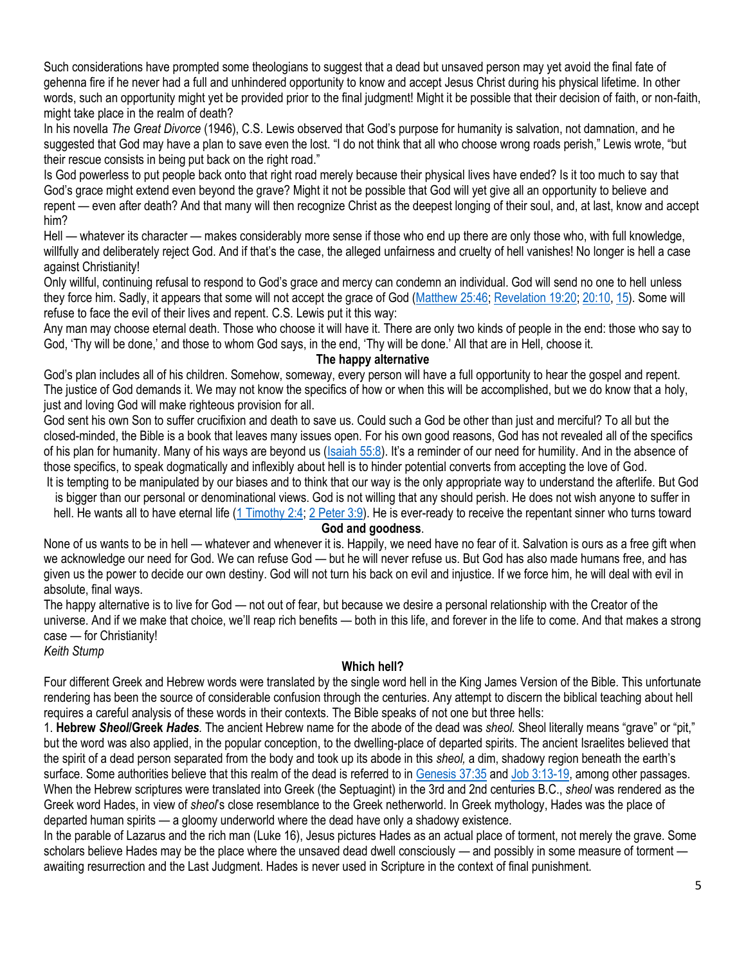Such considerations have prompted some theologians to suggest that a dead but unsaved person may yet avoid the final fate of gehenna fire if he never had a full and unhindered opportunity to know and accept Jesus Christ during his physical lifetime. In other words, such an opportunity might yet be provided prior to the final judgment! Might it be possible that their decision of faith, or non-faith, might take place in the realm of death?

In his novella *The Great Divorce* (1946), C.S. Lewis observed that God's purpose for humanity is salvation, not damnation, and he suggested that God may have a plan to save even the lost. "I do not think that all who choose wrong roads perish," Lewis wrote, "but their rescue consists in being put back on the right road."

Is God powerless to put people back onto that right road merely because their physical lives have ended? Is it too much to say that God's grace might extend even beyond the grave? Might it not be possible that God will yet give all an opportunity to believe and repent — even after death? And that many will then recognize Christ as the deepest longing of their soul, and, at last, know and accept him?

Hell — whatever its character — makes considerably more sense if those who end up there are only those who, with full knowledge, willfully and deliberately reject God. And if that's the case, the alleged unfairness and cruelty of hell vanishes! No longer is hell a case against Christianity!

Only willful, continuing refusal to respond to God's grace and mercy can condemn an individual. God will send no one to hell unless they force him. Sadly, it appears that some will not accept the grace of God [\(Matthew 25:46;](https://biblia.com/bible/niv/Matt%2025.46) [Revelation 19:20;](https://biblia.com/bible/niv/Rev%2019.20) [20:10,](https://biblia.com/bible/niv/Revelation%2020.10) [15\)](https://biblia.com/bible/niv/Revelation%2020.15). Some will refuse to face the evil of their lives and repent. C.S. Lewis put it this way:

Any man may choose eternal death. Those who choose it will have it. There are only two kinds of people in the end: those who say to God, 'Thy will be done,' and those to whom God says, in the end, 'Thy will be done.' All that are in Hell, choose it.

#### **The happy alternative**

God's plan includes all of his children. Somehow, someway, every person will have a full opportunity to hear the gospel and repent. The justice of God demands it. We may not know the specifics of how or when this will be accomplished, but we do know that a holy, just and loving God will make righteous provision for all.

God sent his own Son to suffer crucifixion and death to save us. Could such a God be other than just and merciful? To all but the closed-minded, the Bible is a book that leaves many issues open. For his own good reasons, God has not revealed all of the specifics of his plan for humanity. Many of his ways are beyond us [\(Isaiah 55:8](https://biblia.com/bible/niv/Isa%2055.8)). It's a reminder of our need for humility. And in the absence of those specifics, to speak dogmatically and inflexibly about hell is to hinder potential converts from accepting the love of God.

It is tempting to be manipulated by our biases and to think that our way is the only appropriate way to understand the afterlife. But God is bigger than our personal or denominational views. God is not willing that any should perish. He does not wish anyone to suffer in

hell. He wants all to have eternal life [\(1 Timothy 2:4;](https://biblia.com/bible/niv/1%20Tim%202.4) [2 Peter 3:9\)](https://biblia.com/bible/niv/2%20Pet%203.9). He is ever-ready to receive the repentant sinner who turns toward **God and goodness**.

None of us wants to be in hell — whatever and whenever it is. Happily, we need have no fear of it. Salvation is ours as a free gift when we acknowledge our need for God. We can refuse God — but he will never refuse us. But God has also made humans free, and has given us the power to decide our own destiny. God will not turn his back on evil and injustice. If we force him, he will deal with evil in absolute, final ways.

The happy alternative is to live for God — not out of fear, but because we desire a personal relationship with the Creator of the universe. And if we make that choice, we'll reap rich benefits — both in this life, and forever in the life to come. And that makes a strong case — for Christianity!

*Keith Stump*

## **Which hell?**

Four different Greek and Hebrew words were translated by the single word hell in the King James Version of the Bible. This unfortunate rendering has been the source of considerable confusion through the centuries. Any attempt to discern the biblical teaching about hell requires a careful analysis of these words in their contexts. The Bible speaks of not one but three hells:

1. **Hebrew** *Sheol***/Greek** *Hades.* The ancient Hebrew name for the abode of the dead was *sheol.* Sheol literally means "grave" or "pit," but the word was also applied, in the popular conception, to the dwelling-place of departed spirits. The ancient Israelites believed that the spirit of a dead person separated from the body and took up its abode in this *sheol,* a dim, shadowy region beneath the earth's surface. Some authorities believe that this realm of the dead is referred to in [Genesis 37:35](https://biblia.com/bible/niv/Gen%2037.35) and [Job 3:13-19,](https://biblia.com/bible/niv/Job%203.13-19) among other passages. When the Hebrew scriptures were translated into Greek (the Septuagint) in the 3rd and 2nd centuries B.C., *sheol* was rendered as the Greek word Hades, in view of *sheol*'s close resemblance to the Greek netherworld. In Greek mythology, Hades was the place of departed human spirits — a gloomy underworld where the dead have only a shadowy existence.

In the parable of Lazarus and the rich man (Luke 16), Jesus pictures Hades as an actual place of torment, not merely the grave. Some scholars believe Hades may be the place where the unsaved dead dwell consciously — and possibly in some measure of torment awaiting resurrection and the Last Judgment. Hades is never used in Scripture in the context of final punishment.